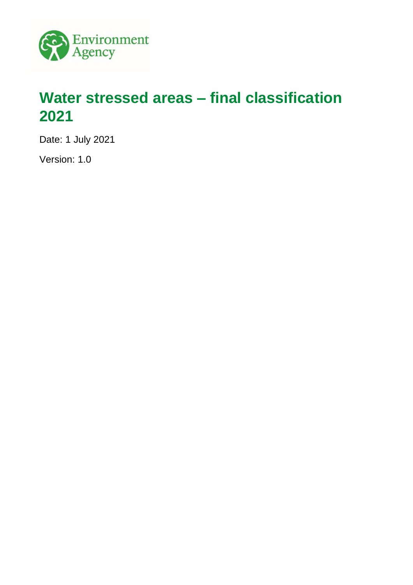

# <span id="page-0-0"></span>**Water stressed areas – final classification 2021**

Date: 1 July 2021

Version: 1.0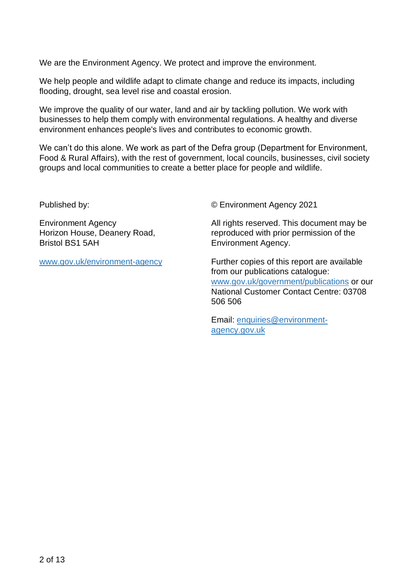We are the Environment Agency. We protect and improve the environment.

We help people and wildlife adapt to climate change and reduce its impacts, including flooding, drought, sea level rise and coastal erosion.

We improve the quality of our water, land and air by tackling pollution. We work with businesses to help them comply with environmental regulations. A healthy and diverse environment enhances people's lives and contributes to economic growth.

We can't do this alone. We work as part of the Defra group (Department for Environment, Food & Rural Affairs), with the rest of government, local councils, businesses, civil society groups and local communities to create a better place for people and wildlife.

Published by:

Environment Agency Horizon House, Deanery Road, Bristol BS1 5AH

[www.gov.uk/environment-agency](http://www.gov.uk/environment-agency)

© Environment Agency 2021

All rights reserved. This document may be reproduced with prior permission of the Environment Agency.

Further copies of this report are available from our publications catalogue: [www.gov.uk/government/publications](http://www.gov.uk/government/publications) or our National Customer Contact Centre: 03708 506 506

Email: [enquiries@environment](mailto:enquiries@environment-agency.gov.uk)[agency.gov.uk](mailto:enquiries@environment-agency.gov.uk)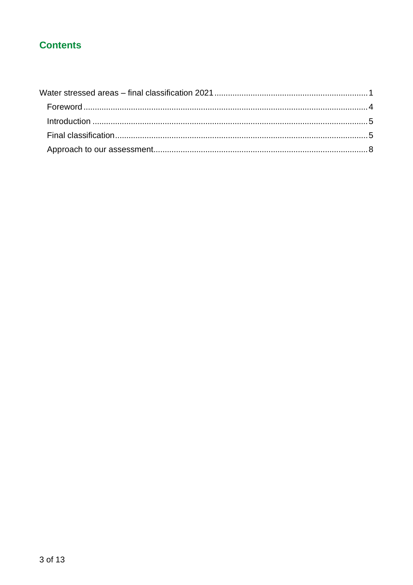#### **Contents**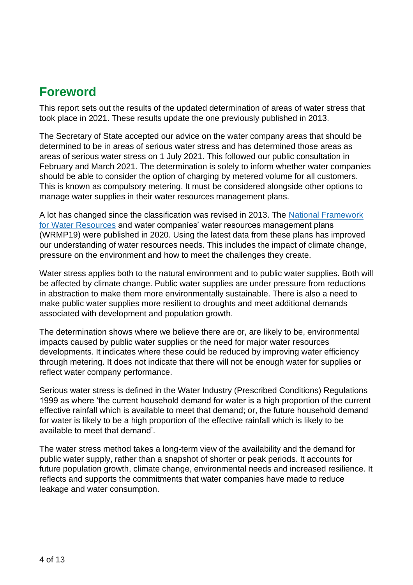### <span id="page-3-0"></span>**Foreword**

This report sets out the results of the updated determination of areas of water stress that took place in 2021. These results update the one previously published in 2013.

The Secretary of State accepted our advice on the water company areas that should be determined to be in areas of serious water stress and has determined those areas as areas of serious water stress on 1 July 2021. This followed our public consultation in February and March 2021. The determination is solely to inform whether water companies should be able to consider the option of charging by metered volume for all customers. This is known as compulsory metering. It must be considered alongside other options to manage water supplies in their water resources management plans.

A lot has changed since the classification was revised in 2013. The [National Framework](https://www.gov.uk/government/publications/meeting-our-future-water-needs-a-national-framework-for-water-resources)  [for Water Resources](https://www.gov.uk/government/publications/meeting-our-future-water-needs-a-national-framework-for-water-resources) and water companies' water resources management plans (WRMP19) were published in 2020. Using the latest data from these plans has improved our understanding of water resources needs. This includes the impact of climate change, pressure on the environment and how to meet the challenges they create.

Water stress applies both to the natural environment and to public water supplies. Both will be affected by climate change. Public water supplies are under pressure from reductions in abstraction to make them more environmentally sustainable. There is also a need to make public water supplies more resilient to droughts and meet additional demands associated with development and population growth.

The determination shows where we believe there are or, are likely to be, environmental impacts caused by public water supplies or the need for major water resources developments. It indicates where these could be reduced by improving water efficiency through metering. It does not indicate that there will not be enough water for supplies or reflect water company performance.

Serious water stress is defined in the Water Industry (Prescribed Conditions) Regulations 1999 as where 'the current household demand for water is a high proportion of the current effective rainfall which is available to meet that demand; or, the future household demand for water is likely to be a high proportion of the effective rainfall which is likely to be available to meet that demand'.

The water stress method takes a long-term view of the availability and the demand for public water supply, rather than a snapshot of shorter or peak periods. It accounts for future population growth, climate change, environmental needs and increased resilience. It reflects and supports the commitments that water companies have made to reduce leakage and water consumption.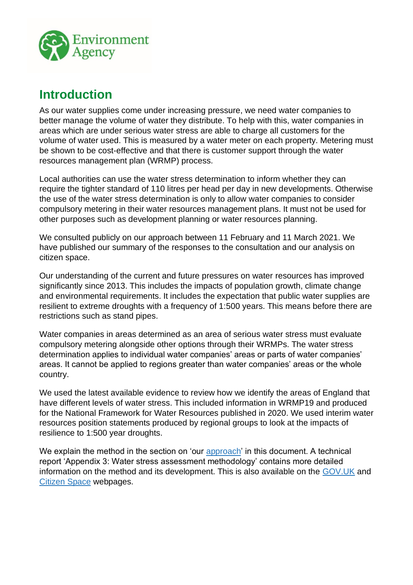

### <span id="page-4-0"></span>**Introduction**

As our water supplies come under increasing pressure, we need water companies to better manage the volume of water they distribute. To help with this, water companies in areas which are under serious water stress are able to charge all customers for the volume of water used. This is measured by a water meter on each property. Metering must be shown to be cost-effective and that there is customer support through the water resources management plan (WRMP) process.

Local authorities can use the water stress determination to inform whether they can require the tighter standard of 110 litres per head per day in new developments. Otherwise the use of the water stress determination is only to allow water companies to consider compulsory metering in their water resources management plans. It must not be used for other purposes such as development planning or water resources planning.

We consulted publicly on our approach between 11 February and 11 March 2021. We have published our summary of the responses to the consultation and our analysis on citizen space.

Our understanding of the current and future pressures on water resources has improved significantly since 2013. This includes the impacts of population growth, climate change and environmental requirements. It includes the expectation that public water supplies are resilient to extreme droughts with a frequency of 1:500 years. This means before there are restrictions such as stand pipes.

Water companies in areas determined as an area of serious water stress must evaluate compulsory metering alongside other options through their WRMPs. The water stress determination applies to individual water companies' areas or parts of water companies' areas. It cannot be applied to regions greater than water companies' areas or the whole country.

We used the latest available evidence to review how we identify the areas of England that have different levels of water stress. This included information in WRMP19 and produced for the National Framework for Water Resources published in 2020. We used interim water resources position statements produced by regional groups to look at the impacts of resilience to 1:500 year droughts.

We explain the method in the section on 'our [approach'](#page-8-0) in this document. A technical report 'Appendix 3: Water stress assessment methodology' contains more detailed information on the method and its development. This is also available on the [GOV.UK](https://www.gov.uk/government/consultations/determining-areas-of-water-stress-in-england) and [Citizen Space](https://consult.environment-agency.gov.uk/environment-and-business/updating-the-determination-of-water-stressed-areas) webpages.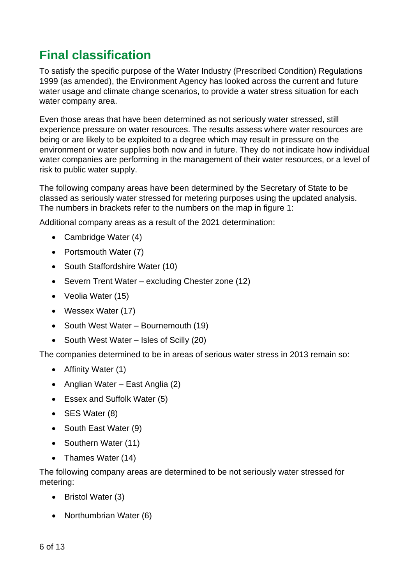## <span id="page-5-0"></span>**Final classification**

To satisfy the specific purpose of the Water Industry (Prescribed Condition) Regulations 1999 (as amended), the Environment Agency has looked across the current and future water usage and climate change scenarios, to provide a water stress situation for each water company area.

Even those areas that have been determined as not seriously water stressed, still experience pressure on water resources. The results assess where water resources are being or are likely to be exploited to a degree which may result in pressure on the environment or water supplies both now and in future. They do not indicate how individual water companies are performing in the management of their water resources, or a level of risk to public water supply.

The following company areas have been determined by the Secretary of State to be classed as seriously water stressed for metering purposes using the updated analysis. The numbers in brackets refer to the numbers on the map in figure 1:

Additional company areas as a result of the 2021 determination:

- Cambridge Water (4)
- Portsmouth Water (7)
- South Staffordshire Water (10)
- Severn Trent Water excluding Chester zone (12)
- Veolia Water (15)
- Wessex Water (17)
- South West Water Bournemouth (19)
- South West Water Isles of Scilly (20)

The companies determined to be in areas of serious water stress in 2013 remain so:

- Affinity Water (1)
- Anglian Water East Anglia (2)
- Essex and Suffolk Water (5)
- SES Water (8)
- South East Water (9)
- Southern Water (11)
- Thames Water (14)

The following company areas are determined to be not seriously water stressed for metering:

- Bristol Water (3)
- Northumbrian Water (6)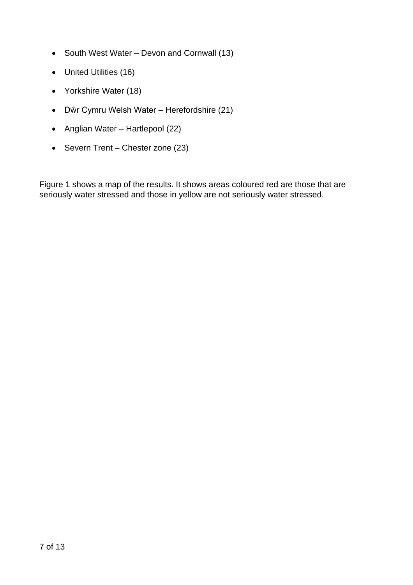- South West Water Devon and Cornwall (13)
- United Utilities (16)
- Yorkshire Water (18)
- Dŵr Cymru Welsh Water Herefordshire (21)
- Anglian Water Hartlepool (22)
- Severn Trent Chester zone (23)

Figure 1 shows a map of the results. It shows areas coloured red are those that are seriously water stressed and those in yellow are not seriously water stressed.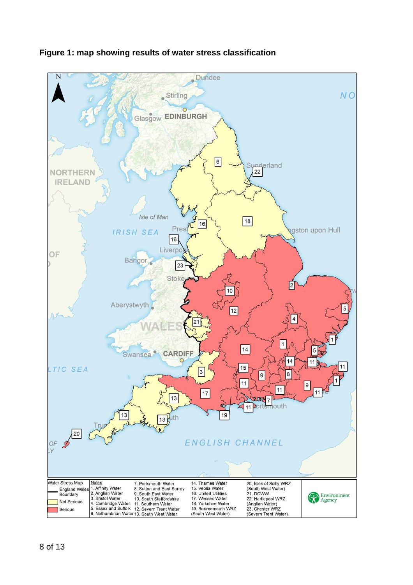

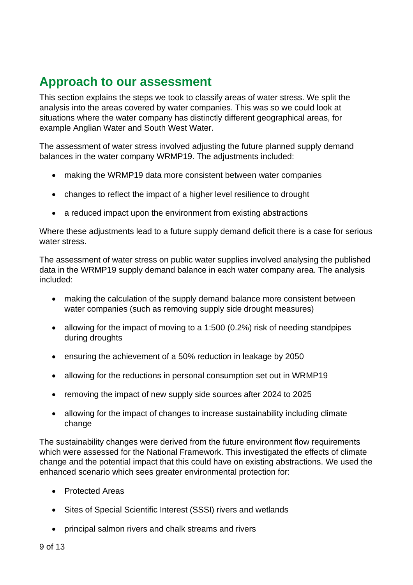## <span id="page-8-0"></span>**Approach to our assessment**

This section explains the steps we took to classify areas of water stress. We split the analysis into the areas covered by water companies. This was so we could look at situations where the water company has distinctly different geographical areas, for example Anglian Water and South West Water.

The assessment of water stress involved adjusting the future planned supply demand balances in the water company WRMP19. The adjustments included:

- making the WRMP19 data more consistent between water companies
- changes to reflect the impact of a higher level resilience to drought
- a reduced impact upon the environment from existing abstractions

Where these adjustments lead to a future supply demand deficit there is a case for serious water stress.

The assessment of water stress on public water supplies involved analysing the published data in the WRMP19 supply demand balance in each water company area. The analysis included:

- making the calculation of the supply demand balance more consistent between water companies (such as removing supply side drought measures)
- allowing for the impact of moving to a 1:500 (0.2%) risk of needing standpipes during droughts
- ensuring the achievement of a 50% reduction in leakage by 2050
- allowing for the reductions in personal consumption set out in WRMP19
- removing the impact of new supply side sources after 2024 to 2025
- allowing for the impact of changes to increase sustainability including climate change

The sustainability changes were derived from the future environment flow requirements which were assessed for the National Framework. This investigated the effects of climate change and the potential impact that this could have on existing abstractions. We used the enhanced scenario which sees greater environmental protection for:

- Protected Areas
- Sites of Special Scientific Interest (SSSI) rivers and wetlands
- principal salmon rivers and chalk streams and rivers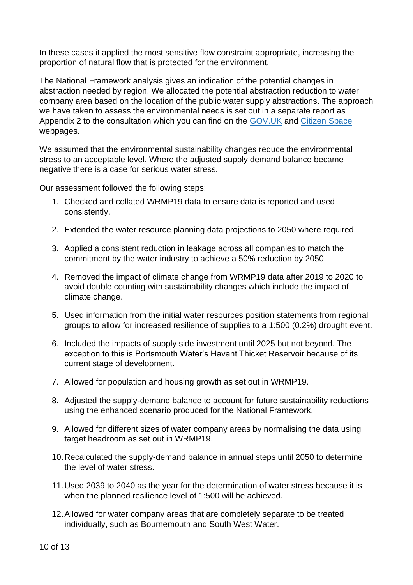In these cases it applied the most sensitive flow constraint appropriate, increasing the proportion of natural flow that is protected for the environment.

The National Framework analysis gives an indication of the potential changes in abstraction needed by region. We allocated the potential abstraction reduction to water company area based on the location of the public water supply abstractions. The approach we have taken to assess the environmental needs is set out in a separate report as Appendix 2 to the consultation which you can find on the [GOV.UK](https://www.gov.uk/government/consultations/determining-areas-of-water-stress-in-england) and [Citizen Space](https://consult.environment-agency.gov.uk/environment-and-business/updating-the-determination-of-water-stressed-areas) webpages.

We assumed that the environmental sustainability changes reduce the environmental stress to an acceptable level. Where the adjusted supply demand balance became negative there is a case for serious water stress.

Our assessment followed the following steps:

- 1. Checked and collated WRMP19 data to ensure data is reported and used consistently.
- 2. Extended the water resource planning data projections to 2050 where required.
- 3. Applied a consistent reduction in leakage across all companies to match the commitment by the water industry to achieve a 50% reduction by 2050.
- 4. Removed the impact of climate change from WRMP19 data after 2019 to 2020 to avoid double counting with sustainability changes which include the impact of climate change.
- 5. Used information from the initial water resources position statements from regional groups to allow for increased resilience of supplies to a 1:500 (0.2%) drought event.
- 6. Included the impacts of supply side investment until 2025 but not beyond. The exception to this is Portsmouth Water's Havant Thicket Reservoir because of its current stage of development.
- 7. Allowed for population and housing growth as set out in WRMP19.
- 8. Adjusted the supply-demand balance to account for future sustainability reductions using the enhanced scenario produced for the National Framework.
- 9. Allowed for different sizes of water company areas by normalising the data using target headroom as set out in WRMP19.
- 10.Recalculated the supply-demand balance in annual steps until 2050 to determine the level of water stress.
- 11.Used 2039 to 2040 as the year for the determination of water stress because it is when the planned resilience level of 1:500 will be achieved.
- 12.Allowed for water company areas that are completely separate to be treated individually, such as Bournemouth and South West Water.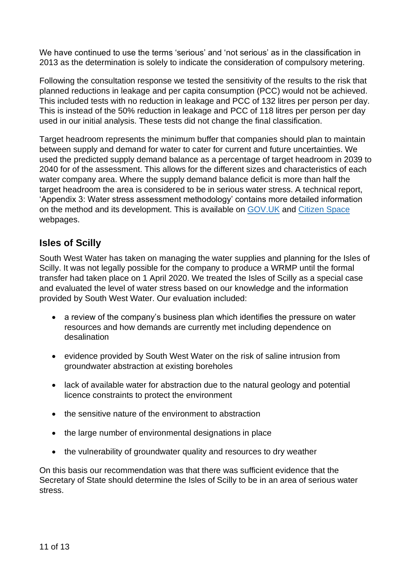We have continued to use the terms 'serious' and 'not serious' as in the classification in 2013 as the determination is solely to indicate the consideration of compulsory metering.

Following the consultation response we tested the sensitivity of the results to the risk that planned reductions in leakage and per capita consumption (PCC) would not be achieved. This included tests with no reduction in leakage and PCC of 132 litres per person per day. This is instead of the 50% reduction in leakage and PCC of 118 litres per person per day used in our initial analysis. These tests did not change the final classification.

Target headroom represents the minimum buffer that companies should plan to maintain between supply and demand for water to cater for current and future uncertainties. We used the predicted supply demand balance as a percentage of target headroom in 2039 to 2040 for of the assessment. This allows for the different sizes and characteristics of each water company area. Where the supply demand balance deficit is more than half the target headroom the area is considered to be in serious water stress. A technical report, 'Appendix 3: Water stress assessment methodology' contains more detailed information on the method and its development. This is available on [GOV.UK](https://www.gov.uk/government/consultations/determining-areas-of-water-stress-in-england) and [Citizen Space](https://consult.environment-agency.gov.uk/environment-and-business/updating-the-determination-of-water-stressed-areas) webpages.

#### **Isles of Scilly**

South West Water has taken on managing the water supplies and planning for the Isles of Scilly. It was not legally possible for the company to produce a WRMP until the formal transfer had taken place on 1 April 2020. We treated the Isles of Scilly as a special case and evaluated the level of water stress based on our knowledge and the information provided by South West Water. Our evaluation included:

- a review of the company's business plan which identifies the pressure on water resources and how demands are currently met including dependence on desalination
- evidence provided by South West Water on the risk of saline intrusion from groundwater abstraction at existing boreholes
- lack of available water for abstraction due to the natural geology and potential licence constraints to protect the environment
- the sensitive nature of the environment to abstraction
- the large number of environmental designations in place
- the vulnerability of groundwater quality and resources to dry weather

On this basis our recommendation was that there was sufficient evidence that the Secretary of State should determine the Isles of Scilly to be in an area of serious water stress.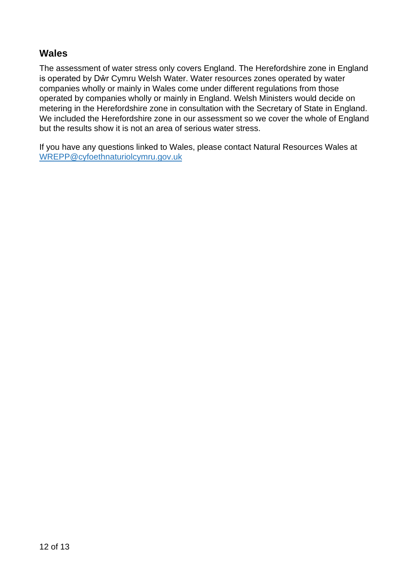#### **Wales**

The assessment of water stress only covers England. The Herefordshire zone in England is operated by Dŵr Cymru Welsh Water. Water resources zones operated by water companies wholly or mainly in Wales come under different regulations from those operated by companies wholly or mainly in England. Welsh Ministers would decide on metering in the Herefordshire zone in consultation with the Secretary of State in England. We included the Herefordshire zone in our assessment so we cover the whole of England but the results show it is not an area of serious water stress.

If you have any questions linked to Wales, please contact Natural Resources Wales at [WREPP@cyfoethnaturiolcymru.gov.uk](mailto:WREPP@cyfoethnaturiolcymru.gov.uk)